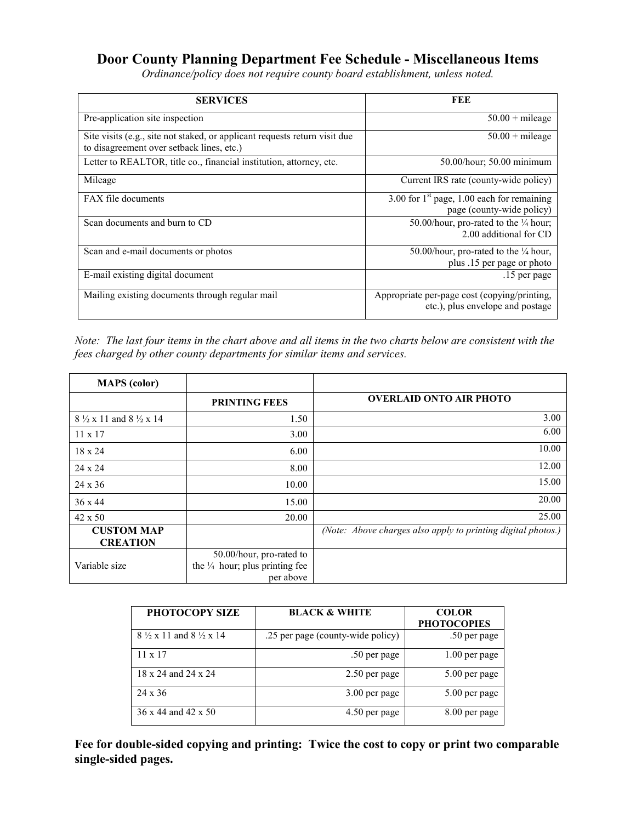## **Door County Planning Department Fee Schedule - Miscellaneous Items**

*Ordinance/policy does not require county board establishment, unless noted.* 

| <b>SERVICES</b>                                                                                                         | FEE                                                                              |
|-------------------------------------------------------------------------------------------------------------------------|----------------------------------------------------------------------------------|
| Pre-application site inspection                                                                                         | $50.00 +$ mileage                                                                |
| Site visits (e.g., site not staked, or applicant requests return visit due<br>to disagreement over setback lines, etc.) | $50.00 +$ mileage                                                                |
| Letter to REALTOR, title co., financial institution, attorney, etc.                                                     | 50.00/hour; 50.00 minimum                                                        |
| Mileage                                                                                                                 | Current IRS rate (county-wide policy)                                            |
| FAX file documents                                                                                                      | 3.00 for $1st$ page, 1.00 each for remaining<br>page (county-wide policy)        |
| Scan documents and burn to CD                                                                                           | 50.00/hour, pro-rated to the $\frac{1}{4}$ hour;<br>2.00 additional for CD       |
| Scan and e-mail documents or photos                                                                                     | 50.00/hour, pro-rated to the $\frac{1}{4}$ hour,<br>plus .15 per page or photo   |
| E-mail existing digital document                                                                                        | .15 per page                                                                     |
| Mailing existing documents through regular mail                                                                         | Appropriate per-page cost (copying/printing,<br>etc.), plus envelope and postage |

*Note: The last four items in the chart above and all items in the two charts below are consistent with the fees charged by other county departments for similar items and services.* 

| <b>MAPS</b> (color)                         |                                                                                    |                                                              |
|---------------------------------------------|------------------------------------------------------------------------------------|--------------------------------------------------------------|
|                                             | <b>PRINTING FEES</b>                                                               | <b>OVERLAID ONTO AIR PHOTO</b>                               |
| $8\frac{1}{2}$ x 11 and $8\frac{1}{2}$ x 14 | 1.50                                                                               | 3.00                                                         |
| $11 \times 17$                              | 3.00                                                                               | 6.00                                                         |
| 18 x 24                                     | 6.00                                                                               | 10.00                                                        |
| 24 x 24                                     | 8.00                                                                               | 12.00                                                        |
| $24 \times 36$                              | 10.00                                                                              | 15.00                                                        |
| $36 \times 44$                              | 15.00                                                                              | 20.00                                                        |
| 42 x 50                                     | 20.00                                                                              | 25.00                                                        |
| <b>CUSTOM MAP</b><br><b>CREATION</b>        |                                                                                    | (Note: Above charges also apply to printing digital photos.) |
| Variable size                               | 50.00/hour, pro-rated to<br>the $\frac{1}{4}$ hour; plus printing fee<br>per above |                                                              |

| PHOTOCOPY SIZE                              | <b>BLACK &amp; WHITE</b>          | <b>COLOR</b><br><b>PHOTOCOPIES</b> |
|---------------------------------------------|-----------------------------------|------------------------------------|
| $8\frac{1}{2}$ x 11 and $8\frac{1}{2}$ x 14 | .25 per page (county-wide policy) | .50 per page                       |
| $11 \times 17$                              | .50 per page                      | 1.00 per page                      |
| 18 x 24 and 24 x 24                         | 2.50 per page                     | 5.00 per page                      |
| $24 \times 36$                              | 3.00 per page                     | 5.00 per page                      |
| 36 x 44 and 42 x 50                         | 4.50 per page                     | 8.00 per page                      |

**Fee for double-sided copying and printing: Twice the cost to copy or print two comparable single-sided pages.**